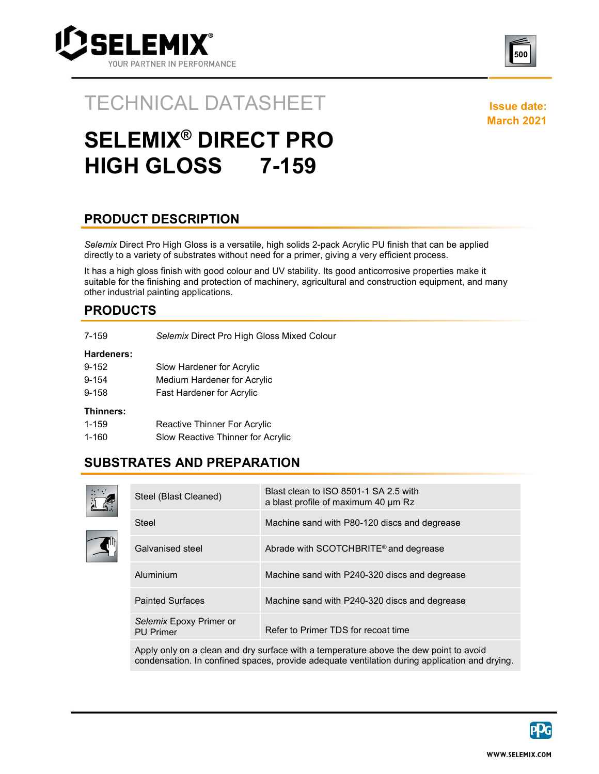



### TECHNICAL DATASHEET ISSUE date:

March 2021

# SELEMIX® DIRECT PRO HIGH GLOSS 7-159

### PRODUCT DESCRIPTION

Selemix Direct Pro High Gloss is a versatile, high solids 2-pack Acrylic PU finish that can be applied directly to a variety of substrates without need for a primer, giving a very efficient process.

It has a high gloss finish with good colour and UV stability. Its good anticorrosive properties make it suitable for the finishing and protection of machinery, agricultural and construction equipment, and many other industrial painting applications.

### PRODUCTS

| Hardeners:<br>9-152<br>Slow Hardener for Acrylic<br>9-154<br>Medium Hardener for Acrylic<br>$9 - 158$<br>Fast Hardener for Acrylic<br>Thinners:<br>1-159<br>Reactive Thinner For Acrylic<br>1-160<br>Slow Reactive Thinner for Acrylic | 7-159 | Selemix Direct Pro High Gloss Mixed Colour |
|----------------------------------------------------------------------------------------------------------------------------------------------------------------------------------------------------------------------------------------|-------|--------------------------------------------|
|                                                                                                                                                                                                                                        |       |                                            |
|                                                                                                                                                                                                                                        |       |                                            |
|                                                                                                                                                                                                                                        |       |                                            |
|                                                                                                                                                                                                                                        |       |                                            |
|                                                                                                                                                                                                                                        |       |                                            |
|                                                                                                                                                                                                                                        |       |                                            |
|                                                                                                                                                                                                                                        |       |                                            |

#### SUBSTRATES AND PREPARATION



| Steel (Blast Cleaned)                       | Blast clean to ISO 8501-1 SA 2.5 with<br>a blast profile of maximum 40 um Rz |
|---------------------------------------------|------------------------------------------------------------------------------|
| Steel                                       | Machine sand with P80-120 discs and degrease                                 |
| Galvanised steel                            | Abrade with SCOTCHBRITE® and degrease                                        |
| Aluminium                                   | Machine sand with P240-320 discs and degrease                                |
| <b>Painted Surfaces</b>                     | Machine sand with P240-320 discs and degrease                                |
| Selemix Epoxy Primer or<br><b>PU Primer</b> | Refer to Primer TDS for recoat time                                          |

Apply only on a clean and dry surface with a temperature above the dew point to avoid condensation. In confined spaces, provide adequate ventilation during application and drying.

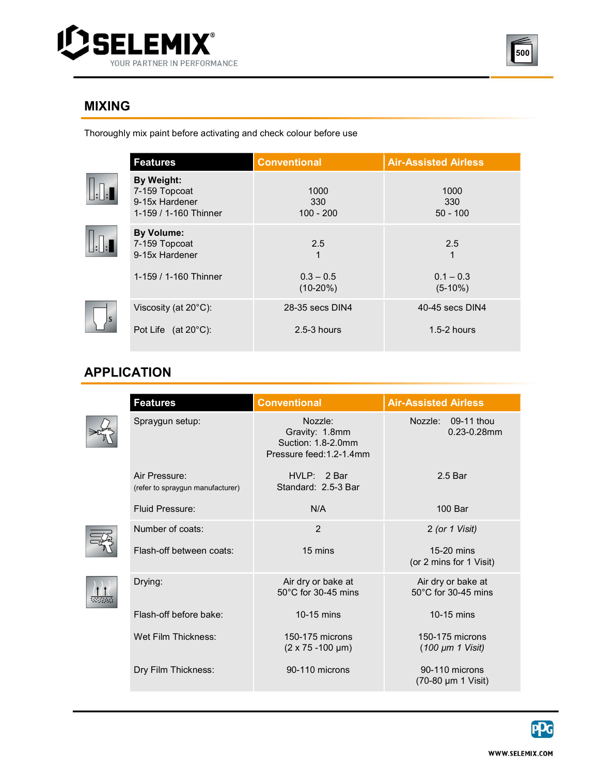



### MIXING

 $\begin{tabular}{|c|c|} \hline \quad \quad & \quad \quad & \quad \quad \\ \hline \quad \quad & \quad \quad & \quad \quad \\ \hline \quad \quad & \quad \quad & \quad \quad \\ \hline \end{tabular}$ 

 $\fbox{1.1}\label{eq:1}$ 

 Thoroughly mix paint before activating and check colour before use

|                  | <b>Features</b>                                                        | <b>Conventional</b>        | <b>Air-Assisted Airless</b> |
|------------------|------------------------------------------------------------------------|----------------------------|-----------------------------|
| $\cdot$          | By Weight:<br>7-159 Topcoat<br>9-15x Hardener<br>1-159 / 1-160 Thinner | 1000<br>330<br>$100 - 200$ | 1000<br>330<br>$50 - 100$   |
|                  | <b>By Volume:</b><br>7-159 Topcoat<br>9-15x Hardener                   | 2.5<br>1                   | 2.5<br>1                    |
|                  | 1-159 / 1-160 Thinner                                                  | $0.3 - 0.5$<br>$(10-20%)$  | $0.1 - 0.3$<br>$(5-10%)$    |
|                  | Viscosity (at 20°C):                                                   | 28-35 secs DIN4            | 40-45 secs DIN4             |
| $\left  \right.$ | Pot Life (at 20°C):                                                    | $2.5 - 3$ hours            | $1.5 - 2$ hours             |

## APPLICATION

| <b>Features</b>                                   | <b>Conventional</b>                                                         | <b>Air-Assisted Airless</b>                         |
|---------------------------------------------------|-----------------------------------------------------------------------------|-----------------------------------------------------|
| Spraygun setup:                                   | Nozzle:<br>Gravity: 1.8mm<br>Suction: 1.8-2.0mm<br>Pressure feed: 1.2-1.4mm | Nozzle: 09-11 thou<br>$0.23 - 0.28$ mm              |
| Air Pressure:<br>(refer to spraygun manufacturer) | HVI.P: 2 Bar<br>Standard: 2.5-3 Bar                                         | 2.5 <sub>Bar</sub>                                  |
| <b>Fluid Pressure:</b>                            | N/A                                                                         | 100 Bar                                             |
| Number of coats:                                  | $\overline{2}$                                                              | 2 (or 1 Visit)                                      |
| Flash-off between coats:                          | 15 mins                                                                     | 15-20 mins<br>(or 2 mins for 1 Visit)               |
| Drying:                                           | Air dry or bake at<br>$50^{\circ}$ C for 30-45 mins                         | Air dry or bake at<br>$50^{\circ}$ C for 30-45 mins |
| Flash-off before bake:                            | 10-15 mins                                                                  | $10-15$ mins                                        |
| Wet Film Thickness:                               | 150-175 microns<br>$(2 \times 75 - 100 \mu m)$                              | 150-175 microns<br>$(100 \mu m 1 \text{ Visit})$    |
| Dry Film Thickness:                               | 90-110 microns                                                              | 90-110 microns<br>(70-80 µm 1 Visit)                |

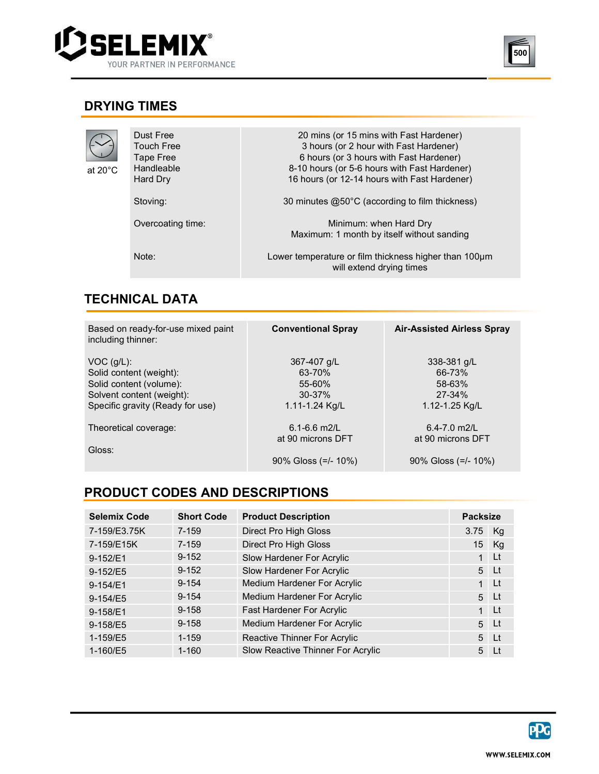



### DRYING TIMES

| at 20°C | Dust Free<br><b>Touch Free</b><br>Tape Free<br>Handleable<br>Hard Dry | 20 mins (or 15 mins with Fast Hardener)<br>3 hours (or 2 hour with Fast Hardener)<br>6 hours (or 3 hours with Fast Hardener)<br>8-10 hours (or 5-6 hours with Fast Hardener)<br>16 hours (or 12-14 hours with Fast Hardener) |
|---------|-----------------------------------------------------------------------|------------------------------------------------------------------------------------------------------------------------------------------------------------------------------------------------------------------------------|
|         | Stoving:<br>Overcoating time:                                         | 30 minutes $@50^{\circ}$ C (according to film thickness)<br>Minimum: when Hard Dry<br>Maximum: 1 month by itself without sanding                                                                                             |
|         | Note:                                                                 | Lower temperature or film thickness higher than 100µm<br>will extend drying times                                                                                                                                            |

### **TECHNICAL DATA**<br>————————————————————

| Based on ready-for-use mixed paint<br>including thinner:                                                                            | <b>Conventional Spray</b>                                       | <b>Air-Assisted Airless Spray</b>                               |
|-------------------------------------------------------------------------------------------------------------------------------------|-----------------------------------------------------------------|-----------------------------------------------------------------|
| $VOC$ (q/L):<br>Solid content (weight):<br>Solid content (volume):<br>Solvent content (weight):<br>Specific gravity (Ready for use) | 367-407 g/L<br>63-70%<br>55-60%<br>$30 - 37%$<br>1.11-1.24 Kg/L | 338-381 g/L<br>66-73%<br>58-63%<br>27-34%<br>1.12-1.25 Kg/L     |
| Theoretical coverage:<br>Gloss:                                                                                                     | $6.1 - 6.6$ m2/L<br>at 90 microns DFT<br>$90\%$ Gloss (=/- 10%) | $6.4 - 7.0$ m2/L<br>at 90 microns DFT<br>$90\%$ Gloss (=/- 10%) |

### PRODUCT CODES AND DESCRIPTIONS

| <b>Selemix Code</b> | <b>Short Code</b> | <b>Product Description</b>        | <b>Packsize</b> |                         |
|---------------------|-------------------|-----------------------------------|-----------------|-------------------------|
| 7-159/E3.75K        | $7 - 159$         | Direct Pro High Gloss             | 3.75            | Kg                      |
| 7-159/E15K          | 7-159             | <b>Direct Pro High Gloss</b>      | 15              | Kg                      |
| 9-152/E1            | $9 - 152$         | Slow Hardener For Acrylic         | 1               | Lt                      |
| 9-152/E5            | $9 - 152$         | Slow Hardener For Acrylic         |                 | 5 Lt                    |
| 9-154/E1            | $9 - 154$         | Medium Hardener For Acrylic       | $\mathbf{1}$    | $\lfloor \cdot \rfloor$ |
| 9-154/E5            | $9 - 154$         | Medium Hardener For Acrylic       |                 | $5$ Lt                  |
| 9-158/E1            | $9 - 158$         | Fast Hardener For Acrylic         | $\mathbf{1}$    | $\mathsf{L}$ t          |
| 9-158/E5            | $9 - 158$         | Medium Hardener For Acrylic       | 5 <sup>5</sup>  | $\lfloor \cdot \rfloor$ |
| 1-159/E5            | $1 - 159$         | Reactive Thinner For Acrylic      |                 | $5$ Lt                  |
| 1-160/E5            | $1 - 160$         | Slow Reactive Thinner For Acrylic | 5               | $\perp$                 |